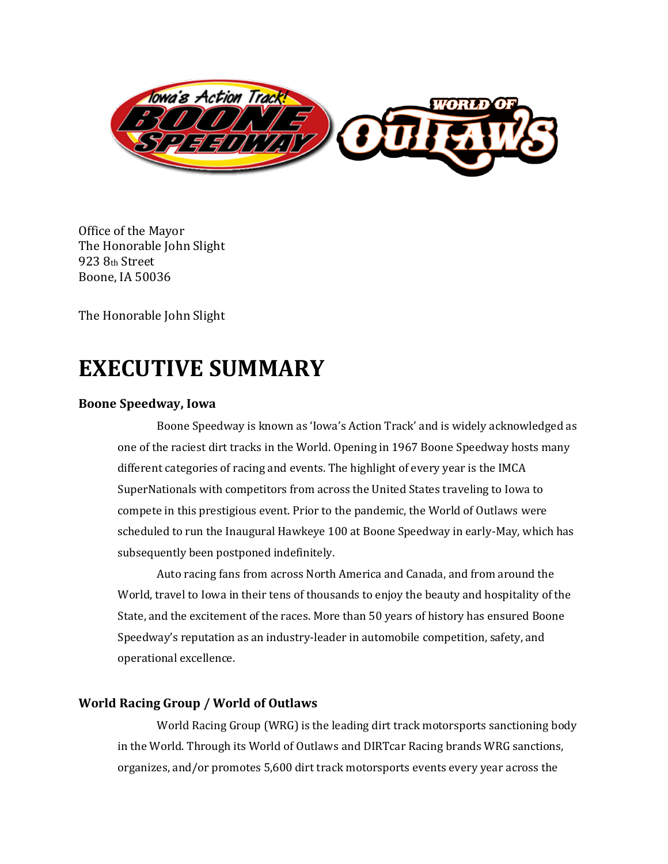

Office of the Mayor The Honorable John Slight 923 8th Street Boone, IA 50036

The Honorable John Slight

## **EXECUTIVE SUMMARY**

#### **Boone Speedway, Iowa**

Boone Speedway is known as 'Iowa's Action Track' and is widely acknowledged as one of the raciest dirt tracks in the World. Opening in 1967 Boone Speedway hosts many different categories of racing and events. The highlight of every year is the IMCA SuperNationals with competitors from across the United States traveling to Iowa to compete in this prestigious event. Prior to the pandemic, the World of Outlaws were scheduled to run the Inaugural Hawkeye 100 at Boone Speedway in early-May, which has subsequently been postponed indefinitely.

Auto racing fans from across North America and Canada, and from around the World, travel to Iowa in their tens of thousands to enjoy the beauty and hospitality of the State, and the excitement of the races. More than 50 years of history has ensured Boone Speedway's reputation as an industry-leader in automobile competition, safety, and operational excellence.

#### **World Racing Group / World of Outlaws**

World Racing Group (WRG) is the leading dirt track motorsports sanctioning body in the World. Through its World of Outlaws and DIRTcar Racing brands WRG sanctions, organizes, and/or promotes 5,600 dirt track motorsports events every year across the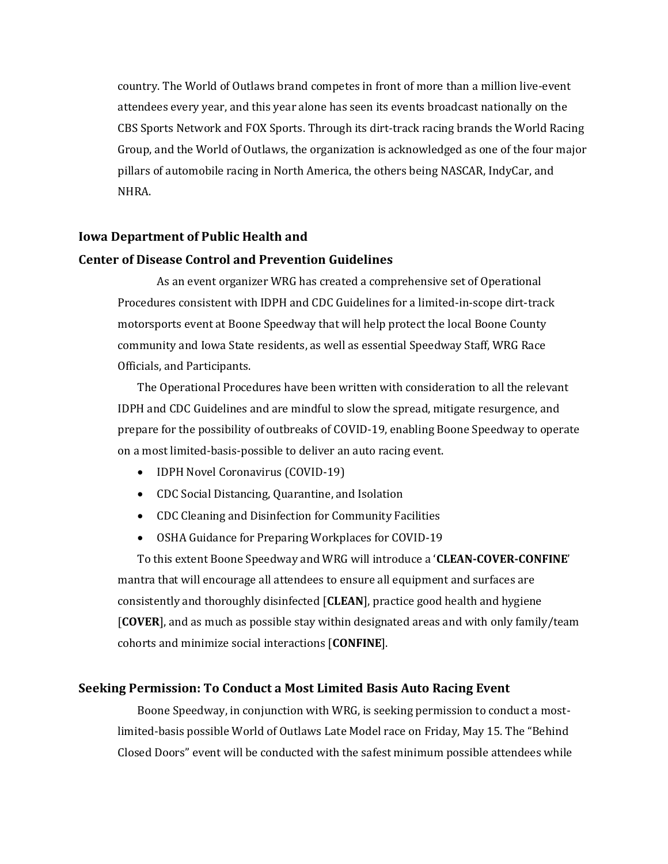country. The World of Outlaws brand competes in front of more than a million live-event attendees every year, and this year alone has seen its events broadcast nationally on the CBS Sports Network and FOX Sports. Through its dirt-track racing brands the World Racing Group, and the World of Outlaws, the organization is acknowledged as one of the four major pillars of automobile racing in North America, the others being NASCAR, IndyCar, and NHRA.

#### **Iowa Department of Public Health and**

#### **Center of Disease Control and Prevention Guidelines**

As an event organizer WRG has created a comprehensive set of Operational Procedures consistent with IDPH and CDC Guidelines for a limited-in-scope dirt-track motorsports event at Boone Speedway that will help protect the local Boone County community and Iowa State residents, as well as essential Speedway Staff, WRG Race Officials, and Participants.

The Operational Procedures have been written with consideration to all the relevant IDPH and CDC Guidelines and are mindful to slow the spread, mitigate resurgence, and prepare for the possibility of outbreaks of COVID-19, enabling Boone Speedway to operate on a most limited-basis-possible to deliver an auto racing event.

- **IDPH Novel Coronavirus (COVID-19)**
- CDC Social Distancing, Quarantine, and Isolation
- CDC Cleaning and Disinfection for Community Facilities
- OSHA Guidance for Preparing Workplaces for COVID-19

To this extent Boone Speedway and WRG will introduce a '**CLEAN-COVER-CONFINE**' mantra that will encourage all attendees to ensure all equipment and surfaces are consistently and thoroughly disinfected [**CLEAN**], practice good health and hygiene [**COVER**], and as much as possible stay within designated areas and with only family/team cohorts and minimize social interactions [**CONFINE**].

#### **Seeking Permission: To Conduct a Most Limited Basis Auto Racing Event**

Boone Speedway, in conjunction with WRG, is seeking permission to conduct a mostlimited-basis possible World of Outlaws Late Model race on Friday, May 15. The "Behind Closed Doors" event will be conducted with the safest minimum possible attendees while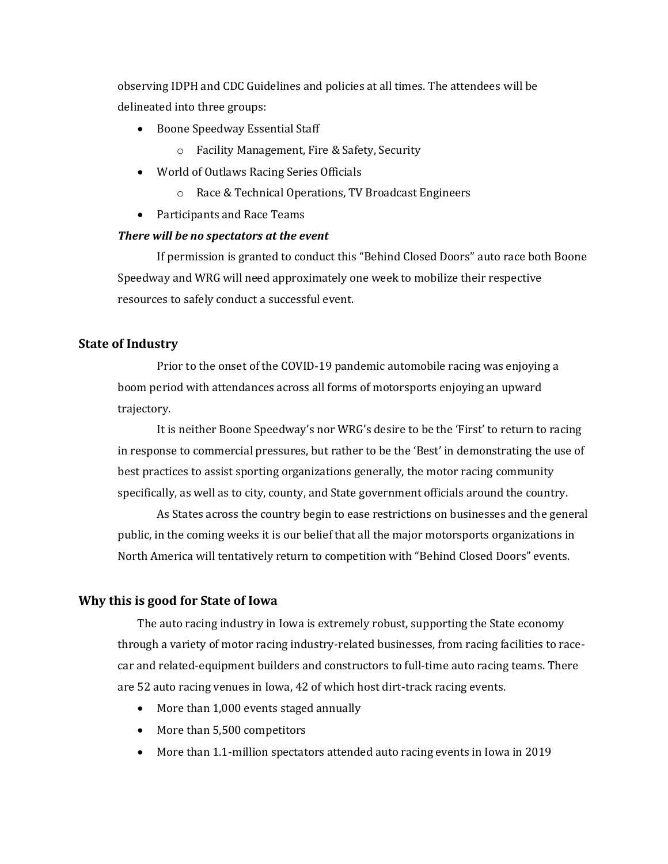observing IDPH and CDC Guidelines and policies at all times. The attendees will be delineated into three groups:

- Boone Speedway Essential Staff
	- o Facility Management, Fire & Safety, Security
- World of Outlaws Racing Series Officials
	- o Race & Technical Operations, TV Broadcast Engineers
- Participants and Race Teams

#### *There will be no spectators at the event*

If permission is granted to conduct this "Behind Closed Doors" auto race both Boone Speedway and WRG will need approximately one week to mobilize their respective resources to safely conduct a successful event.

#### **State of Industry**

Prior to the onset of the COVID-19 pandemic automobile racing was enjoying a boom period with attendances across all forms of motorsports enjoying an upward trajectory.

It is neither Boone Speedway's nor WRG's desire to be the 'First' to return to racing in response to commercial pressures, but rather to be the 'Best' in demonstrating the use of best practices to assist sporting organizations generally, the motor racing community specifically, as well as to city, county, and State government officials around the country.

As States across the country begin to ease restrictions on businesses and the general public, in the coming weeks it is our belief that all the major motorsports organizations in North America will tentatively return to competition with "Behind Closed Doors" events.

#### **Why this is good for State of Iowa**

The auto racing industry in Iowa is extremely robust, supporting the State economy through a variety of motor racing industry-related businesses, from racing facilities to racecar and related-equipment builders and constructors to full-time auto racing teams. There are 52 auto racing venues in Iowa, 42 of which host dirt-track racing events.

- More than 1,000 events staged annually
- More than 5,500 competitors
- More than 1.1-million spectators attended auto racing events in Iowa in 2019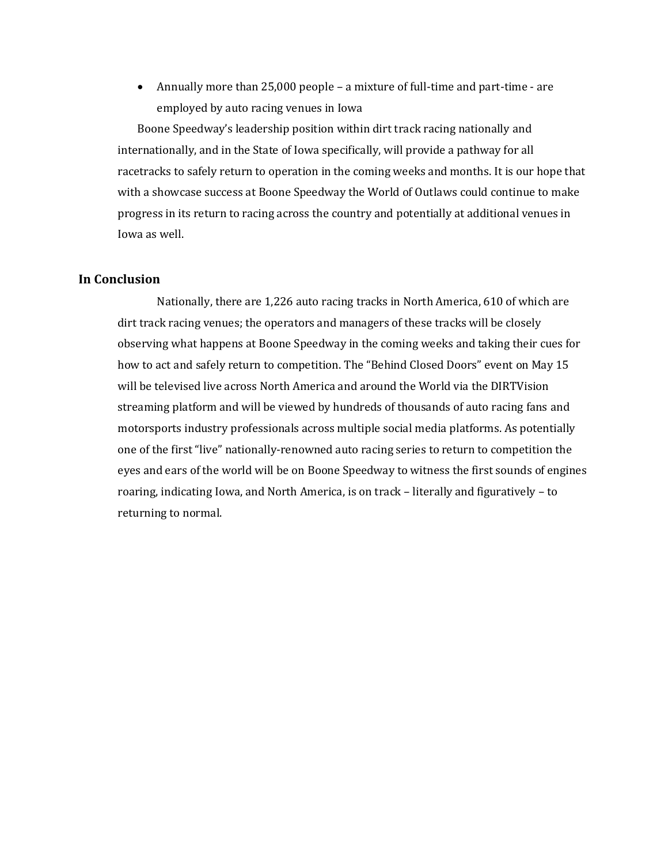• Annually more than 25,000 people – a mixture of full-time and part-time - are employed by auto racing venues in Iowa

Boone Speedway's leadership position within dirt track racing nationally and internationally, and in the State of Iowa specifically, will provide a pathway for all racetracks to safely return to operation in the coming weeks and months. It is our hope that with a showcase success at Boone Speedway the World of Outlaws could continue to make progress in its return to racing across the country and potentially at additional venues in Iowa as well.

#### **In Conclusion**

Nationally, there are 1,226 auto racing tracks in North America, 610 of which are dirt track racing venues; the operators and managers of these tracks will be closely observing what happens at Boone Speedway in the coming weeks and taking their cues for how to act and safely return to competition. The "Behind Closed Doors" event on May 15 will be televised live across North America and around the World via the DIRTVision streaming platform and will be viewed by hundreds of thousands of auto racing fans and motorsports industry professionals across multiple social media platforms. As potentially one of the first "live" nationally-renowned auto racing series to return to competition the eyes and ears of the world will be on Boone Speedway to witness the first sounds of engines roaring, indicating Iowa, and North America, is on track – literally and figuratively – to returning to normal.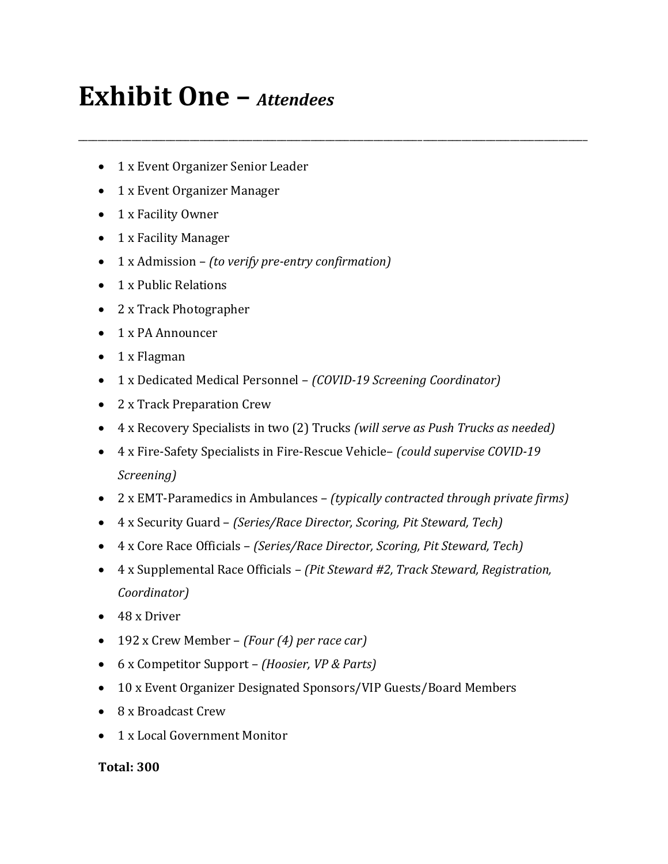# **Exhibit One –** *Attendees*

- 1 x Event Organizer Senior Leader
- 1 x Event Organizer Manager
- 1 x Facility Owner
- 1 x Facility Manager
- 1 x Admission *(to verify pre-entry confirmation)*
- 1 x Public Relations
- 2 x Track Photographer
- 1 x PA Announcer
- 1 x Flagman
- 1 x Dedicated Medical Personnel *(COVID-19 Screening Coordinator)*
- 2 x Track Preparation Crew
- 4 x Recovery Specialists in two (2) Trucks *(will serve as Push Trucks as needed)*

\_\_\_\_\_\_\_\_\_\_\_\_\_\_\_\_\_\_\_\_\_\_\_\_\_\_\_\_\_\_\_\_\_\_\_\_\_\_\_\_\_\_\_\_\_\_\_\_\_\_\_\_\_\_\_\_\_\_\_\_\_\_\_\_\_\_\_\_\_\_\_\_\_\_\_\_\_\_\_\_\_\_\_\_\_\_\_\_\_\_\_\_\_\_\_\_\_\_\_\_\_\_\_\_\_

- 4 x Fire-Safety Specialists in Fire-Rescue Vehicle– *(could supervise COVID-19 Screening)*
- 2 x EMT-Paramedics in Ambulances *(typically contracted through private firms)*
- 4 x Security Guard *(Series/Race Director, Scoring, Pit Steward, Tech)*
- 4 x Core Race Officials *(Series/Race Director, Scoring, Pit Steward, Tech)*
- 4 x Supplemental Race Officials *(Pit Steward #2, Track Steward, Registration, Coordinator)*
- 48 x Driver
- 192 x Crew Member *(Four (4) per race car)*
- 6 x Competitor Support *(Hoosier, VP & Parts)*
- 10 x Event Organizer Designated Sponsors/VIP Guests/Board Members
- 8 x Broadcast Crew
- 1 x Local Government Monitor

## **Total: 300**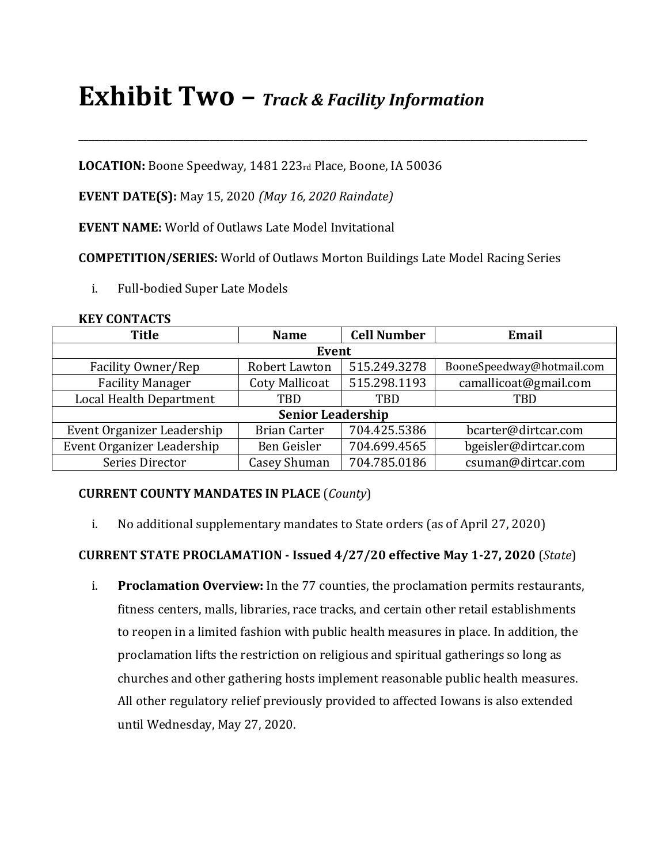# **Exhibit Two –** *Track & Facility Information*

**LOCATION:** Boone Speedway, 1481 223rd Place, Boone, IA 50036

**EVENT DATE(S):** May 15, 2020 *(May 16, 2020 Raindate)*

**EVENT NAME:** World of Outlaws Late Model Invitational

**COMPETITION/SERIES:** World of Outlaws Morton Buildings Late Model Racing Series

**\_\_\_\_\_\_\_\_\_\_\_\_\_\_\_\_\_\_\_\_\_\_\_\_\_\_\_\_\_\_\_\_\_\_\_\_\_\_\_\_\_\_\_\_\_\_\_\_\_\_\_\_\_\_\_\_\_\_\_\_\_\_\_\_\_\_\_\_\_\_\_\_\_\_\_\_\_\_\_\_\_\_\_\_\_\_\_\_\_\_\_\_\_\_\_\_\_\_\_\_\_\_\_\_\_**

i. Full-bodied Super Late Models

| <b>KEY CONTACTS</b> |
|---------------------|
|                     |

| <b>Title</b>               | <b>Name</b>           | <b>Cell Number</b> | Email                     |  |  |
|----------------------------|-----------------------|--------------------|---------------------------|--|--|
| Event                      |                       |                    |                           |  |  |
| Facility Owner/Rep         | Robert Lawton         | 515.249.3278       | BooneSpeedway@hotmail.com |  |  |
| <b>Facility Manager</b>    | <b>Coty Mallicoat</b> | 515.298.1193       | camallicoat@gmail.com     |  |  |
| Local Health Department    | <b>TBD</b>            | TBD                | TBD                       |  |  |
| <b>Senior Leadership</b>   |                       |                    |                           |  |  |
| Event Organizer Leadership | <b>Brian Carter</b>   | 704.425.5386       | bcarter@dirtcar.com       |  |  |
| Event Organizer Leadership | Ben Geisler           | 704.699.4565       | bgeisler@dirtcar.com      |  |  |
| Series Director            | <b>Casey Shuman</b>   | 704.785.0186       | csuman@dirtcar.com        |  |  |

## **CURRENT COUNTY MANDATES IN PLACE** (*County*)

i. No additional supplementary mandates to State orders (as of April 27, 2020)

## **CURRENT STATE PROCLAMATION - Issued 4/27/20 effective May 1-27, 2020** (*State*)

i. **Proclamation Overview:** In the 77 counties, the proclamation permits restaurants, fitness centers, malls, libraries, race tracks, and certain other retail establishments to reopen in a limited fashion with public health measures in place. In addition, the proclamation lifts the restriction on religious and spiritual gatherings so long as churches and other gathering hosts implement reasonable public health measures. All other regulatory relief previously provided to affected Iowans is also extended until Wednesday, May 27, 2020.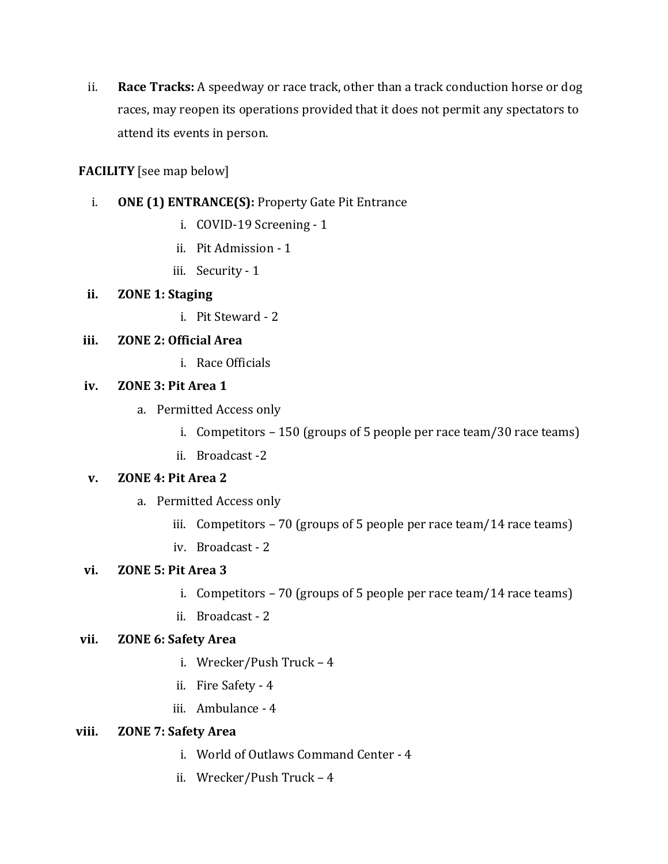ii. **Race Tracks:** A speedway or race track, other than a track conduction horse or dog races, may reopen its operations provided that it does not permit any spectators to attend its events in person.

## **FACILITY** [see map below]

- i. **ONE (1) ENTRANCE(S):** Property Gate Pit Entrance
	- i. COVID-19 Screening 1
	- ii. Pit Admission 1
	- iii. Security 1

## **ii. ZONE 1: Staging**

i. Pit Steward - 2

## **iii. ZONE 2: Official Area**

i. Race Officials

## **iv. ZONE 3: Pit Area 1**

- a. Permitted Access only
	- i. Competitors 150 (groups of 5 people per race team/30 race teams)
	- ii. Broadcast -2

## **v. ZONE 4: Pit Area 2**

- a. Permitted Access only
	- iii. Competitors  $-70$  (groups of 5 people per race team/14 race teams)
	- iv. Broadcast 2

## **vi. ZONE 5: Pit Area 3**

- i. Competitors 70 (groups of 5 people per race team/14 race teams)
- ii. Broadcast 2

## **vii. ZONE 6: Safety Area**

- i. Wrecker/Push Truck 4
- ii. Fire Safety 4
- iii. Ambulance 4

## **viii. ZONE 7: Safety Area**

- i. World of Outlaws Command Center 4
- ii. Wrecker/Push Truck 4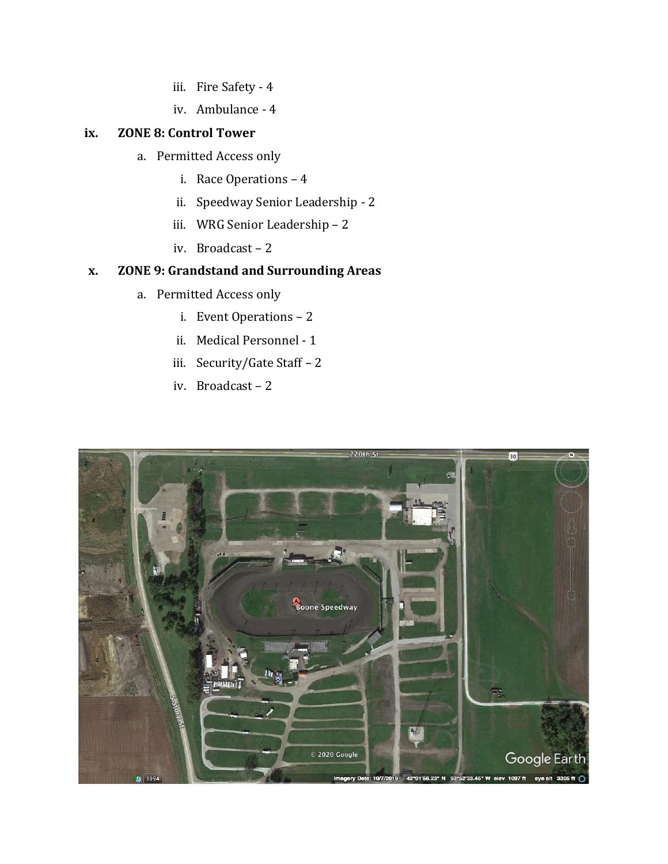- iii. Fire Safety 4
- iv. Ambulance 4

## **ix. ZONE 8: Control Tower**

- a. Permitted Access only
	- i. Race Operations 4
	- ii. Speedway Senior Leadership 2
	- iii. WRG Senior Leadership 2
	- iv. Broadcast 2

## **x. ZONE 9: Grandstand and Surrounding Areas**

- a. Permitted Access only
	- i. Event Operations 2
	- ii. Medical Personnel 1
	- iii. Security/Gate Staff 2
	- iv. Broadcast 2

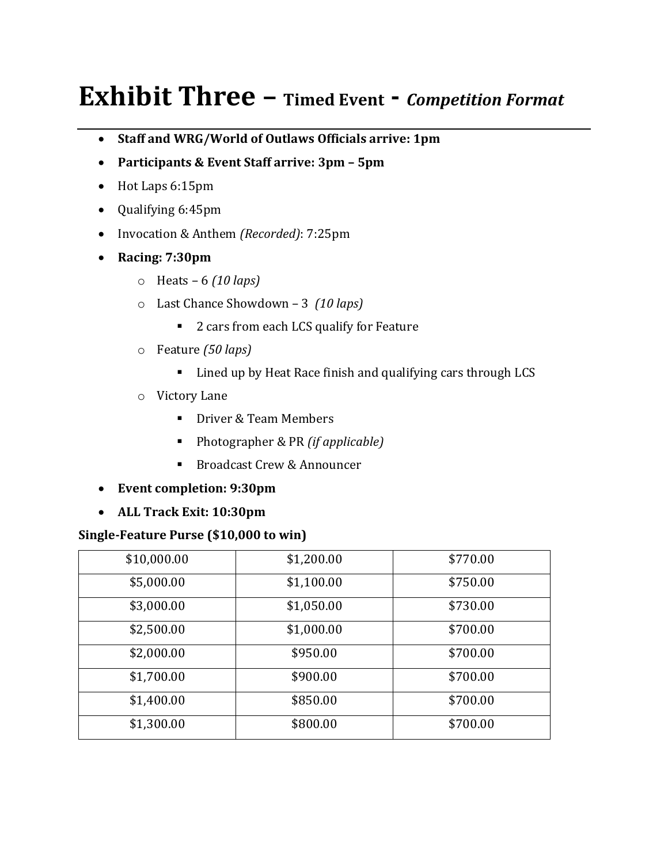# **Exhibit Three – Timed Event -** *Competition Format*

- **Staff and WRG/World of Outlaws Officials arrive: 1pm**
- **Participants & Event Staff arrive: 3pm – 5pm**
- Hot Laps 6:15pm
- Qualifying 6:45pm
- Invocation & Anthem *(Recorded)*: 7:25pm
- **Racing: 7:30pm**
	- o Heats 6 *(10 laps)*
	- o Last Chance Showdown 3 *(10 laps)*
		- 2 cars from each LCS qualify for Feature
	- o Feature *(50 laps)*
		- Lined up by Heat Race finish and qualifying cars through LCS
	- o Victory Lane
		- Driver & Team Members
		- Photographer & PR *(if applicable)*
		- Broadcast Crew & Announcer
- **Event completion: 9:30pm**
- **ALL Track Exit: 10:30pm**

## **Single-Feature Purse (\$10,000 to win)**

| \$10,000.00 | \$1,200.00 | \$770.00 |
|-------------|------------|----------|
| \$5,000.00  | \$1,100.00 | \$750.00 |
| \$3,000.00  | \$1,050.00 | \$730.00 |
| \$2,500.00  | \$1,000.00 | \$700.00 |
| \$2,000.00  | \$950.00   | \$700.00 |
| \$1,700.00  | \$900.00   | \$700.00 |
| \$1,400.00  | \$850.00   | \$700.00 |
| \$1,300.00  | \$800.00   | \$700.00 |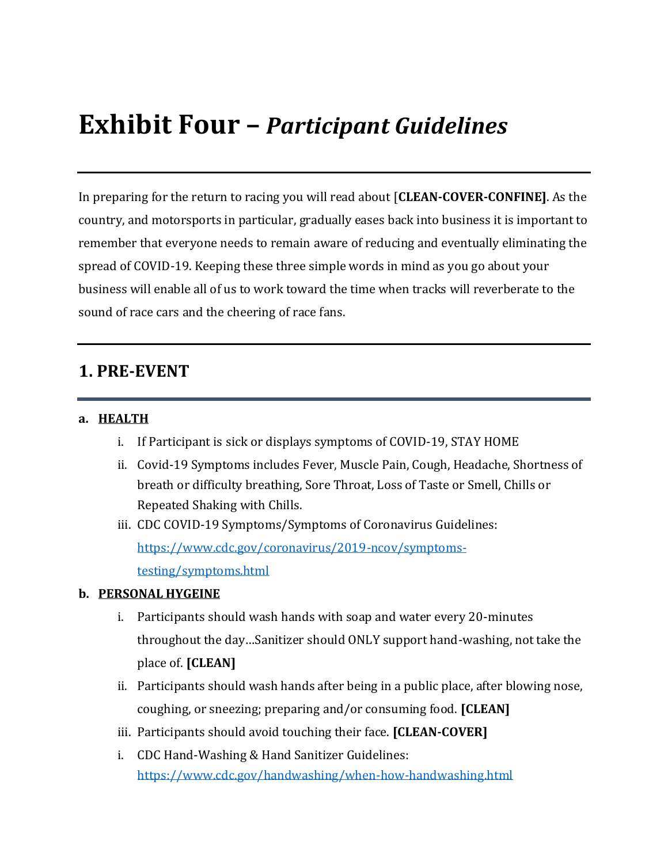# **Exhibit Four –** *Participant Guidelines*

In preparing for the return to racing you will read about [**CLEAN-COVER-CONFINE]**. As the country, and motorsports in particular, gradually eases back into business it is important to remember that everyone needs to remain aware of reducing and eventually eliminating the spread of COVID-19. Keeping these three simple words in mind as you go about your business will enable all of us to work toward the time when tracks will reverberate to the sound of race cars and the cheering of race fans.

## **1. PRE-EVENT**

#### **a. HEALTH**

- i. If Participant is sick or displays symptoms of COVID-19, STAY HOME
- ii. Covid-19 Symptoms includes Fever, Muscle Pain, Cough, Headache, Shortness of breath or difficulty breathing, Sore Throat, Loss of Taste or Smell, Chills or Repeated Shaking with Chills.
- iii. CDC COVID-19 Symptoms/Symptoms of Coronavirus Guidelines: [https://www.cdc.gov/coronavirus/2019-ncov/symptoms](https://www.cdc.gov/coronavirus/2019-ncov/symptoms-testing/symptoms.html)[testing/symptoms.html](https://www.cdc.gov/coronavirus/2019-ncov/symptoms-testing/symptoms.html)

#### **b. PERSONAL HYGEINE**

- i. Participants should wash hands with soap and water every 20-minutes throughout the day…Sanitizer should ONLY support hand-washing, not take the place of. **[CLEAN]**
- ii. Participants should wash hands after being in a public place, after blowing nose, coughing, or sneezing; preparing and/or consuming food. **[CLEAN]**
- iii. Participants should avoid touching their face. **[CLEAN-COVER]**
- i. CDC Hand-Washing & Hand Sanitizer Guidelines: <https://www.cdc.gov/handwashing/when-how-handwashing.html>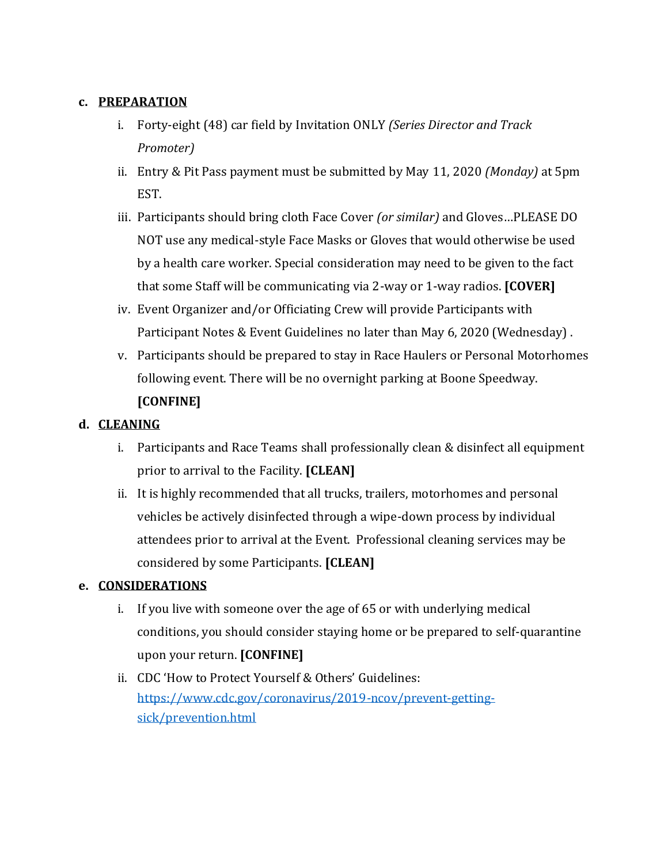## **c. PREPARATION**

- i. Forty-eight (48) car field by Invitation ONLY *(Series Director and Track Promoter)*
- ii. Entry & Pit Pass payment must be submitted by May 11, 2020 *(Monday)* at 5pm EST.
- iii. Participants should bring cloth Face Cover *(or similar)* and Gloves…PLEASE DO NOT use any medical-style Face Masks or Gloves that would otherwise be used by a health care worker. Special consideration may need to be given to the fact that some Staff will be communicating via 2-way or 1-way radios. **[COVER]**
- iv. Event Organizer and/or Officiating Crew will provide Participants with Participant Notes & Event Guidelines no later than May 6, 2020 (Wednesday) .
- v. Participants should be prepared to stay in Race Haulers or Personal Motorhomes following event. There will be no overnight parking at Boone Speedway. **[CONFINE]**

## **d. CLEANING**

- i. Participants and Race Teams shall professionally clean & disinfect all equipment prior to arrival to the Facility. **[CLEAN]**
- ii. It is highly recommended that all trucks, trailers, motorhomes and personal vehicles be actively disinfected through a wipe-down process by individual attendees prior to arrival at the Event. Professional cleaning services may be considered by some Participants. **[CLEAN]**

## **e. CONSIDERATIONS**

- i. If you live with someone over the age of 65 or with underlying medical conditions, you should consider staying home or be prepared to self-quarantine upon your return. **[CONFINE]**
- ii. CDC 'How to Protect Yourself & Others' Guidelines: [https://www.cdc.gov/coronavirus/2019-ncov/prevent-getting](https://www.cdc.gov/coronavirus/2019-ncov/prevent-getting-sick/prevention.html)[sick/prevention.html](https://www.cdc.gov/coronavirus/2019-ncov/prevent-getting-sick/prevention.html)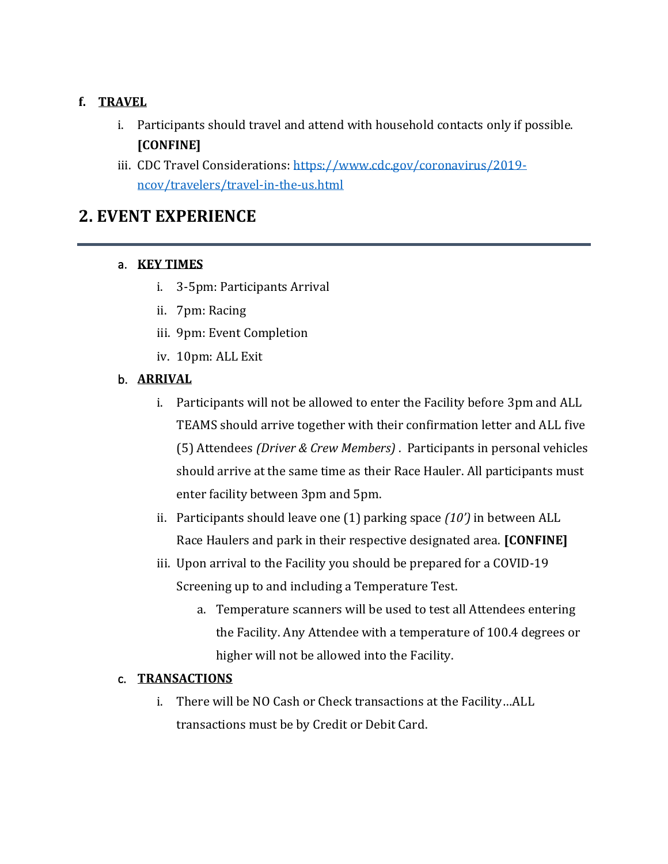## **f. TRAVEL**

- i. Participants should travel and attend with household contacts only if possible. **[CONFINE]**
- iii. CDC Travel Considerations: [https://www.cdc.gov/coronavirus/2019](https://www.cdc.gov/coronavirus/2019-ncov/travelers/travel-in-the-us.html) [ncov/travelers/travel-in-the-us.html](https://www.cdc.gov/coronavirus/2019-ncov/travelers/travel-in-the-us.html)

## **2. EVENT EXPERIENCE**

## a. **KEY TIMES**

- i. 3-5pm: Participants Arrival
- ii. 7pm: Racing
- iii. 9pm: Event Completion
- iv. 10pm: ALL Exit

## b. **ARRIVAL**

- i. Participants will not be allowed to enter the Facility before 3pm and ALL TEAMS should arrive together with their confirmation letter and ALL five (5) Attendees *(Driver & Crew Members)* . Participants in personal vehicles should arrive at the same time as their Race Hauler. All participants must enter facility between 3pm and 5pm.
- ii. Participants should leave one (1) parking space *(10')* in between ALL Race Haulers and park in their respective designated area. **[CONFINE]**
- iii. Upon arrival to the Facility you should be prepared for a COVID-19 Screening up to and including a Temperature Test.
	- a. Temperature scanners will be used to test all Attendees entering the Facility. Any Attendee with a temperature of 100.4 degrees or higher will not be allowed into the Facility.

## c. **TRANSACTIONS**

i. There will be NO Cash or Check transactions at the Facility…ALL transactions must be by Credit or Debit Card.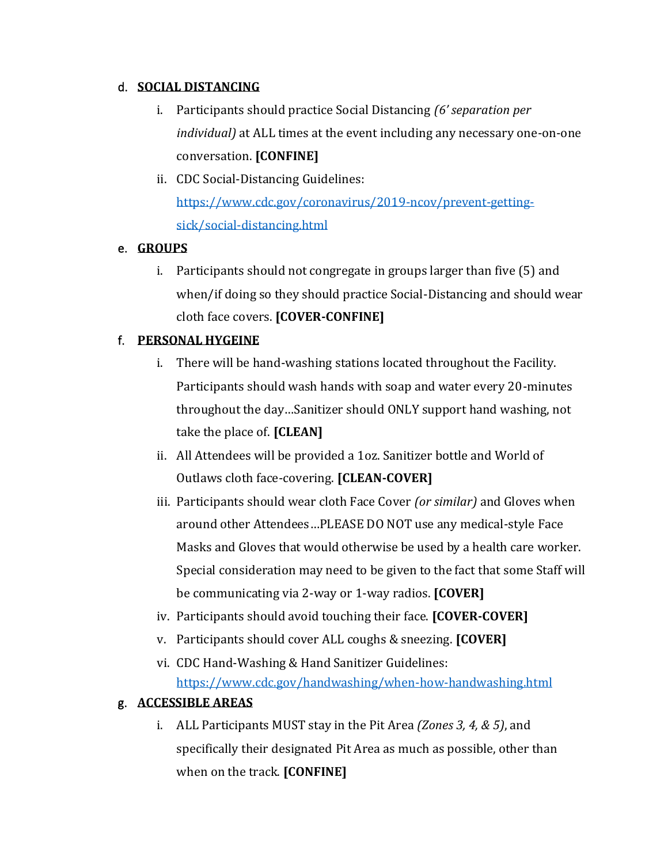## d. **SOCIAL DISTANCING**

- i. Participants should practice Social Distancing *(6' separation per individual)* at ALL times at the event including any necessary one-on-one conversation. **[CONFINE]**
- ii. CDC Social-Distancing Guidelines: [https://www.cdc.gov/coronavirus/2019-ncov/prevent-getting](https://www.cdc.gov/coronavirus/2019-ncov/prevent-getting-sick/social-distancing.html)[sick/social-distancing.html](https://www.cdc.gov/coronavirus/2019-ncov/prevent-getting-sick/social-distancing.html)

## e. **GROUPS**

i. Participants should not congregate in groups larger than five (5) and when/if doing so they should practice Social-Distancing and should wear cloth face covers. **[COVER-CONFINE]**

## f. **PERSONAL HYGEINE**

- i. There will be hand-washing stations located throughout the Facility. Participants should wash hands with soap and water every 20-minutes throughout the day…Sanitizer should ONLY support hand washing, not take the place of. **[CLEAN]**
- ii. All Attendees will be provided a 1oz. Sanitizer bottle and World of Outlaws cloth face-covering. **[CLEAN-COVER]**
- iii. Participants should wear cloth Face Cover *(or similar)* and Gloves when around other Attendees…PLEASE DO NOT use any medical-style Face Masks and Gloves that would otherwise be used by a health care worker. Special consideration may need to be given to the fact that some Staff will be communicating via 2-way or 1-way radios. **[COVER]**
- iv. Participants should avoid touching their face. **[COVER-COVER]**
- v. Participants should cover ALL coughs & sneezing. **[COVER]**
- vi. CDC Hand-Washing & Hand Sanitizer Guidelines: <https://www.cdc.gov/handwashing/when-how-handwashing.html>

## g. **ACCESSIBLE AREAS**

i. ALL Participants MUST stay in the Pit Area *(Zones 3, 4, & 5)*, and specifically their designated Pit Area as much as possible, other than when on the track. **[CONFINE]**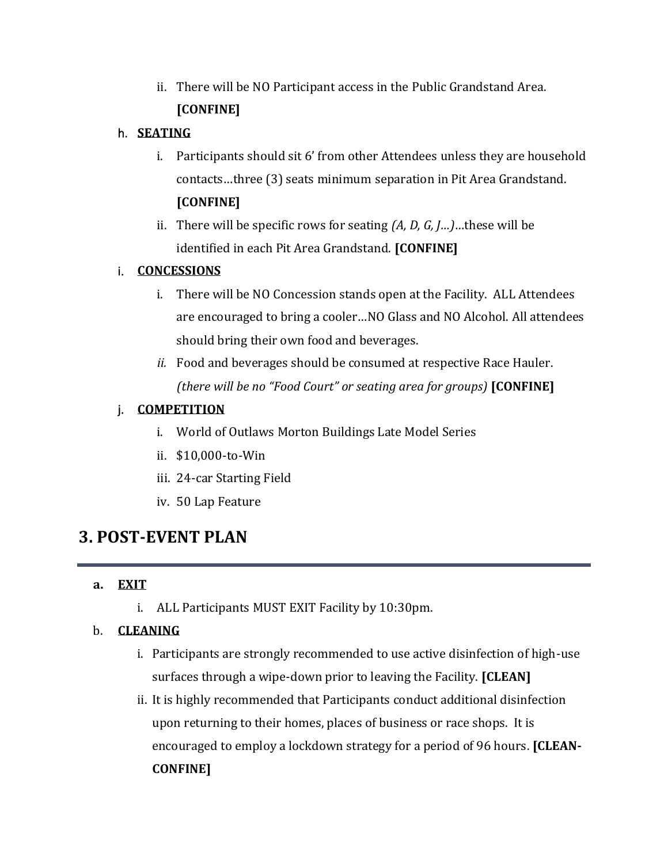ii. There will be NO Participant access in the Public Grandstand Area. **[CONFINE]**

## h. **SEATING**

- i. Participants should sit 6' from other Attendees unless they are household contacts…three (3) seats minimum separation in Pit Area Grandstand. **[CONFINE]**
- ii. There will be specific rows for seating *(A, D, G, J…)*…these will be identified in each Pit Area Grandstand. **[CONFINE]**

## i. **CONCESSIONS**

- i. There will be NO Concession stands open at the Facility. ALL Attendees are encouraged to bring a cooler…NO Glass and NO Alcohol. All attendees should bring their own food and beverages.
- *ii.* Food and beverages should be consumed at respective Race Hauler. *(there will be no "Food Court" or seating area for groups)* **[CONFINE]**

## j. **COMPETITION**

- i. World of Outlaws Morton Buildings Late Model Series
- ii. \$10,000-to-Win
- iii. 24-car Starting Field
- iv. 50 Lap Feature

## **3. POST-EVENT PLAN**

## **a. EXIT**

i. ALL Participants MUST EXIT Facility by 10:30pm.

## b. **CLEANING**

- i. Participants are strongly recommended to use active disinfection of high-use surfaces through a wipe-down prior to leaving the Facility. **[CLEAN]**
- ii. It is highly recommended that Participants conduct additional disinfection upon returning to their homes, places of business or race shops. It is encouraged to employ a lockdown strategy for a period of 96 hours. **[CLEAN-CONFINE]**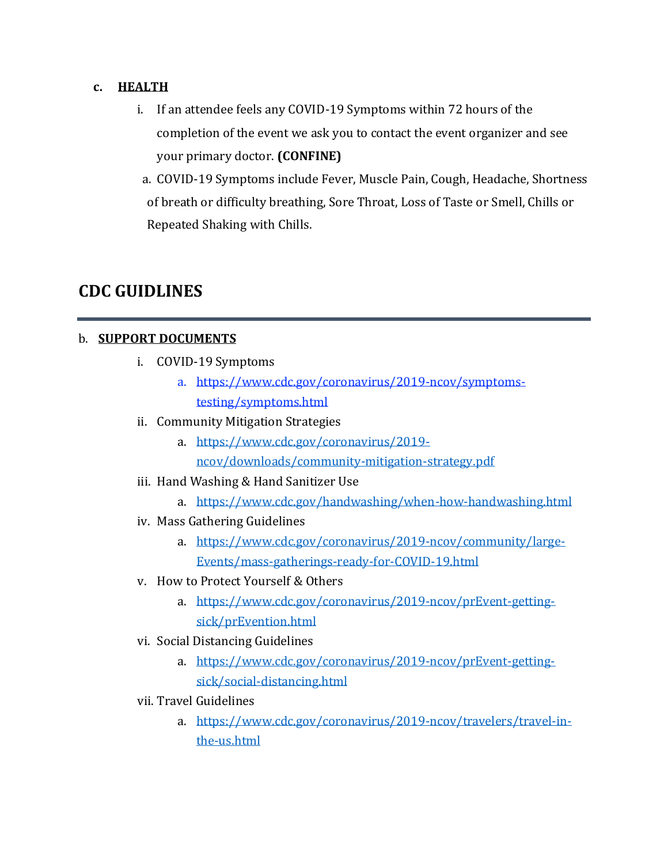### **c. HEALTH**

- i. If an attendee feels any COVID-19 Symptoms within 72 hours of the completion of the event we ask you to contact the event organizer and see your primary doctor. **(CONFINE)**
- a. COVID-19 Symptoms include Fever, Muscle Pain, Cough, Headache, Shortness of breath or difficulty breathing, Sore Throat, Loss of Taste or Smell, Chills or Repeated Shaking with Chills.

## **CDC GUIDLINES**

## b. **SUPPORT DOCUMENTS**

- i. COVID-19 Symptoms
	- a. [https://www.cdc.gov/coronavirus/2019-ncov/symptoms](/Users/jeffhachmann/Dropbox%20(World%20Racing%20Group)/Events%20Team%20Shared/WoO/2020%20WoO/Admin/COVID-19/Operational%20Procedure/CDC)[testing/symptoms.html](/Users/jeffhachmann/Dropbox%20(World%20Racing%20Group)/Events%20Team%20Shared/WoO/2020%20WoO/Admin/COVID-19/Operational%20Procedure/CDC)
- ii. Community Mitigation Strategies
	- a. [https://www.cdc.gov/coronavirus/2019](https://www.cdc.gov/coronavirus/2019-ncov/downloads/community-mitigation-strategy.pdf) [ncov/downloads/community-mitigation-strategy.pdf](https://www.cdc.gov/coronavirus/2019-ncov/downloads/community-mitigation-strategy.pdf)
- iii. Hand Washing & Hand Sanitizer Use
	- a. <https://www.cdc.gov/handwashing/when-how-handwashing.html>
- iv. Mass Gathering Guidelines
	- a. [https://www.cdc.gov/coronavirus/2019-ncov/community/large-](https://www.cdc.gov/coronavirus/2019-ncov/community/large-events/mass-gatherings-ready-for-covid-19.html)[Events/mass-gatherings-ready-for-COVID-19.html](https://www.cdc.gov/coronavirus/2019-ncov/community/large-events/mass-gatherings-ready-for-covid-19.html)
- v. How to Protect Yourself & Others
	- a. [https://www.cdc.gov/coronavirus/2019-ncov/prEvent-getting](https://www.cdc.gov/coronavirus/2019-ncov/prevent-getting-sick/prevention.html)[sick/prEvention.html](https://www.cdc.gov/coronavirus/2019-ncov/prevent-getting-sick/prevention.html)
- vi. Social Distancing Guidelines
	- a. [https://www.cdc.gov/coronavirus/2019-ncov/prEvent-getting](https://www.cdc.gov/coronavirus/2019-ncov/prevent-getting-sick/social-distancing.html)[sick/social-distancing.html](https://www.cdc.gov/coronavirus/2019-ncov/prevent-getting-sick/social-distancing.html)
- vii. Travel Guidelines
	- a. [https://www.cdc.gov/coronavirus/2019-ncov/travelers/travel-in](https://www.cdc.gov/coronavirus/2019-ncov/travelers/travel-in-the-us.html)[the-us.html](https://www.cdc.gov/coronavirus/2019-ncov/travelers/travel-in-the-us.html)